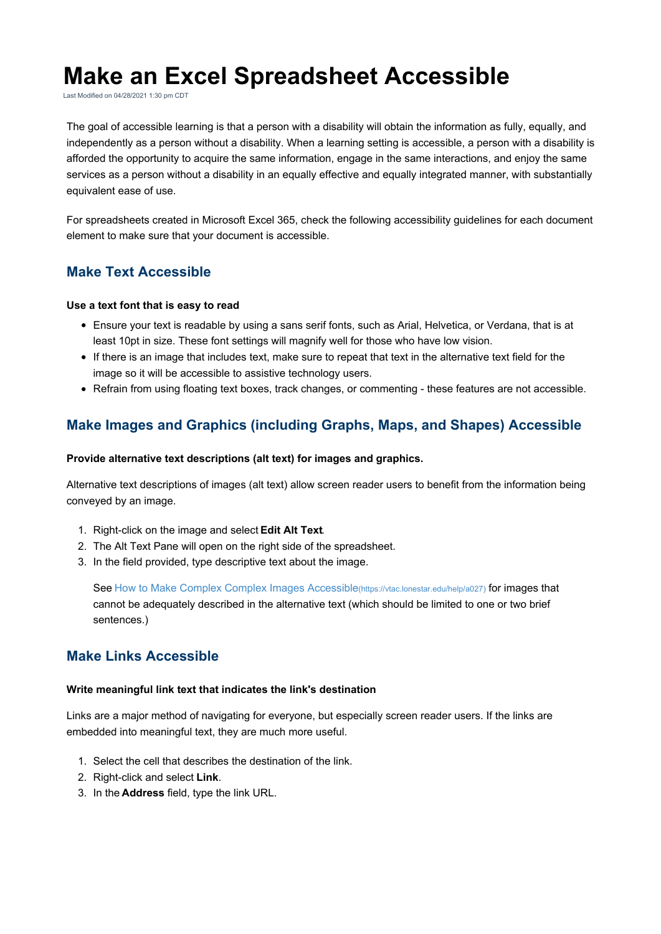# **Make an Excel Spreadsheet Accessible**

Last Modified on 04/28/2021 1:30 pm CDT

The goal of accessible learning is that a person with a disability will obtain the information as fully, equally, and independently as a person without a disability. When a learning setting is accessible, a person with a disability is afforded the opportunity to acquire the same information, engage in the same interactions, and enjoy the same services as a person without a disability in an equally effective and equally integrated manner, with substantially equivalent ease of use.

For spreadsheets created in Microsoft Excel 365, check the following accessibility guidelines for each document element to make sure that your document is accessible.

# **Make Text Accessible**

#### **Use a text font that is easy to read**

- Ensure your text is readable by using a sans serif fonts, such as Arial, Helvetica, or Verdana, that is at least 10pt in size. These font settings will magnify well for those who have low vision.
- If there is an image that includes text, make sure to repeat that text in the alternative text field for the image so it will be accessible to assistive technology users.
- Refrain from using floating text boxes, track changes, or commenting these features are not accessible.

# **Make Images and Graphics (including Graphs, Maps, and Shapes) Accessible**

#### **Provide alternative text descriptions (alt text) for images and graphics.**

Alternative text descriptions of images (alt text) allow screen reader users to benefit from the information being conveyed by an image.

- 1. Right-click on the image and select **Edit Alt Text**.
- 2. The Alt Text Pane will open on the right side of the spreadsheet.
- 3. In the field provided, type descriptive text about the image.

See How to Make Complex Complex Images Accessible(https://vtac.lonestar.edu/help/a027) for images that cannot be adequately described in the alternative text (which should be limited to one or two brief sentences.)

# **Make Links Accessible**

### **Write meaningful link text that indicates the link's destination**

Links are a major method of navigating for everyone, but especially screen reader users. If the links are embedded into meaningful text, they are much more useful.

- 1. Select the cell that describes the destination of the link.
- 2. Right-click and select **Link**.
- 3. In the **Address** field, type the link URL.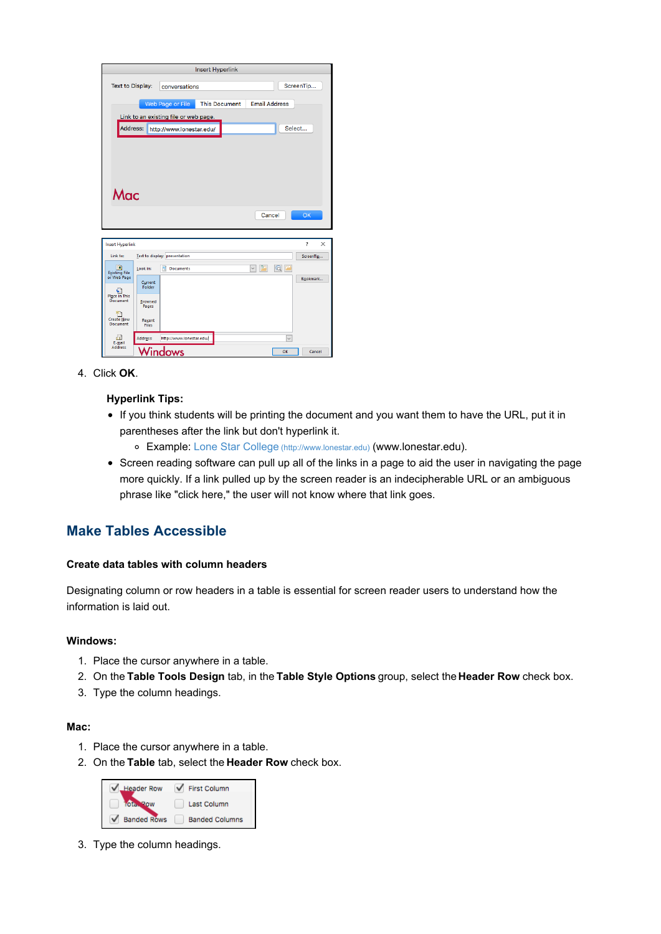| Insert Hyperlink                                |                                      |                               |                      |            |                      |               |
|-------------------------------------------------|--------------------------------------|-------------------------------|----------------------|------------|----------------------|---------------|
| <b>Text to Display:</b>                         |                                      | conversations                 |                      |            |                      | ScreenTip     |
|                                                 |                                      | Web Page or File              | <b>This Document</b> |            | <b>Email Address</b> |               |
| Link to an existing file or web page.           |                                      |                               |                      |            |                      |               |
|                                                 | Address:<br>http://www.lonestar.edu/ |                               |                      |            | Select               |               |
|                                                 |                                      |                               |                      |            |                      |               |
|                                                 |                                      |                               |                      |            |                      |               |
|                                                 |                                      |                               |                      |            |                      |               |
|                                                 |                                      |                               |                      |            |                      |               |
| Mac                                             |                                      |                               |                      |            |                      |               |
| Cancel                                          |                                      |                               |                      |            |                      | <b>OK</b>     |
|                                                 |                                      |                               |                      |            |                      |               |
|                                                 |                                      |                               |                      |            |                      |               |
| <b>Insert Hyperlink</b>                         |                                      |                               |                      |            |                      | ?<br>$\times$ |
| Link to:                                        |                                      | Text to display: presentation |                      |            |                      | ScreenTip     |
| <b>D</b><br><b>Existing File</b><br>or Web Page | Look in:                             | 샠<br><b>Documents</b>         |                      | $\sqrt{2}$ | $\circ$ $\Box$       | Bookmark      |
| ¢٦<br><b>Place in This</b><br><b>Document</b>   | Current<br>Folder                    |                               |                      |            |                      |               |
|                                                 | <b>Browsed</b>                       |                               |                      |            |                      |               |
|                                                 | Pages                                |                               |                      |            |                      |               |
| <b>Create New</b><br><b>Document</b>            | Recent<br><b>Files</b>               |                               |                      |            |                      |               |
| a<br>E-mail<br><b>Address</b>                   | Address:                             | http://www.lonestar.edu/      |                      |            | $\checkmark$         |               |
|                                                 |                                      | Vindows                       |                      |            | OK                   | Cancel        |

4. Click **OK**.

## **Hyperlink Tips:**

- If you think students will be printing the document and you want them to have the URL, put it in parentheses after the link but don't hyperlink it.
	- Example: Lone Star College (http://www.lonestar.edu) (www.lonestar.edu).
- Screen reading software can pull up all of the links in a page to aid the user in navigating the page more quickly. If a link pulled up by the screen reader is an indecipherable URL or an ambiguous phrase like "click here," the user will not know where that link goes.

# **Make Tables Accessible**

## **Create data tables with column headers**

Designating column or row headers in a table is essential for screen reader users to understand how the information is laid out.

#### **Windows:**

- 1. Place the cursor anywhere in a table.
- 2. On the **Table Tools Design** tab, in the **Table Style Options** group, select the **Header Row** check box.
- 3. Type the column headings.

## **Mac:**

- 1. Place the cursor anywhere in a table.
- 2. On the **Table** tab, select the **Header Row** check box.



3. Type the column headings.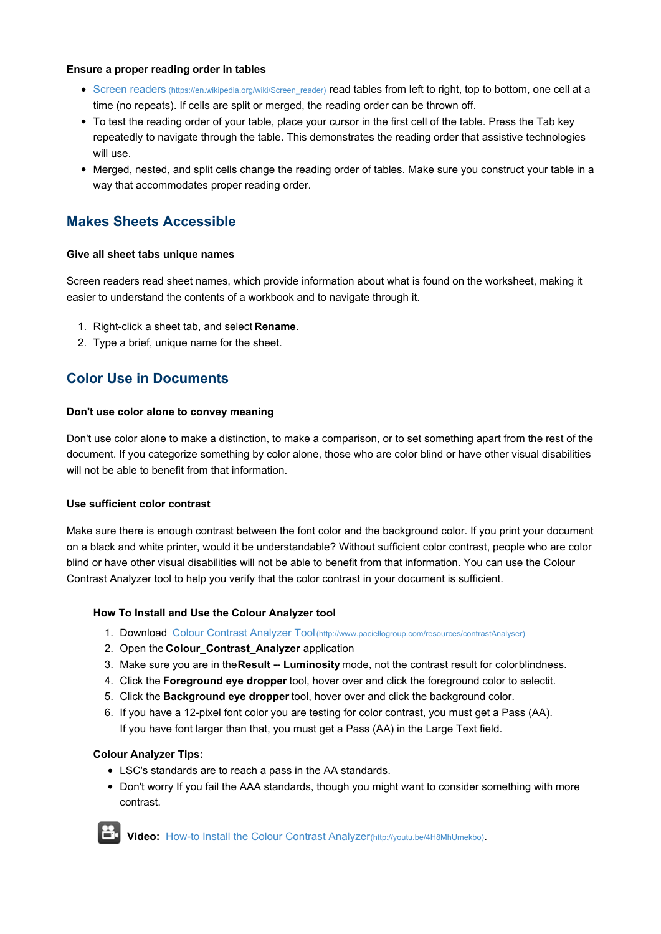#### **Ensure a proper reading order in tables**

- **Screen readers (https://en.wikipedia.org/wiki/Screen\_reader) read tables from left to right, top to bottom, one cell at a** time (no repeats). If cells are split or merged, the reading order can be thrown off.
- To test the reading order of your table, place your cursor in the first cell of the table. Press the Tab key repeatedly to navigate through the table. This demonstrates the reading order that assistive technologies will use.
- Merged, nested, and split cells change the reading order of tables. Make sure you construct your table in a way that accommodates proper reading order.

# **Makes Sheets Accessible**

## **Give all sheet tabs unique names**

Screen readers read sheet names, which provide information about what is found on the worksheet, making it easier to understand the contents of a workbook and to navigate through it.

- 1. Right-click a sheet tab, and select **Rename**.
- 2. Type a brief, unique name for the sheet.

# **Color Use in Documents**

## **Don't use color alone to convey meaning**

Don't use color alone to make a distinction, to make a comparison, or to set something apart from the rest of the document. If you categorize something by color alone, those who are color blind or have other visual disabilities will not be able to benefit from that information.

## **Use sufficient color contrast**

Make sure there is enough contrast between the font color and the background color. If you print your document on a black and white printer, would it be understandable? Without sufficient color contrast, people who are color blind or have other visual disabilities will not be able to benefit from that information. You can use the Colour Contrast Analyzer tool to help you verify that the color contrast in your document is sufficient.

## **How To Install and Use the Colour Analyzer tool**

- 1. Download Colour Contrast Analyzer Tool(http://www.paciellogroup.com/resources/contrastAnalyser)
- 2. Open the **Colour\_Contrast\_Analyzer** application
- 3. Make sure you are in the**Result -- Luminosity** mode, not the contrast result for colorblindness.
- 4. Click the **Foreground eye dropper** tool, hover over and click the foreground color to selectit.
- 5. Click the **Background eye dropper** tool, hover over and click the background color.
- 6. If you have a 12-pixel font color you are testing for color contrast, you must get a Pass (AA). If you have font larger than that, you must get a Pass (AA) in the Large Text field.

# **Colour Analyzer Tips:**

- LSC's standards are to reach a pass in the AA standards.
- Don't worry If you fail the AAA standards, though you might want to consider something with more contrast.



**Video:** How-to Install the Colour Contrast Analyzer(http://youtu.be/4H8MhUmekbo).